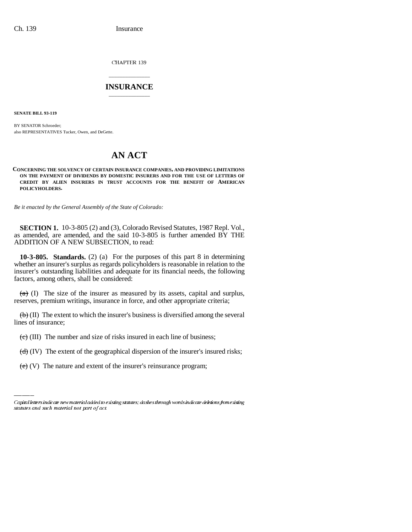CHAPTER 139

## \_\_\_\_\_\_\_\_\_\_\_\_\_\_\_ **INSURANCE** \_\_\_\_\_\_\_\_\_\_\_\_\_\_\_

**SENATE BILL 93-119**

BY SENATOR Schroeder; also REPRESENTATIVES Tucker, Owen, and DeGette.

## **AN ACT**

**CONCERNING THE SOLVENCY OF CERTAIN INSURANCE COMPANIES, AND PROVIDING LIMITATIONS ON THE PAYMENT OF DIVIDENDS BY DOMESTIC INSURERS AND FOR THE USE OF LETTERS OF CREDIT BY ALIEN INSURERS IN TRUST ACCOUNTS FOR THE BENEFIT OF AMERICAN POLICYHOLDERS.**

*Be it enacted by the General Assembly of the State of Colorado:*

**SECTION 1.** 10-3-805 (2) and (3), Colorado Revised Statutes, 1987 Repl. Vol., as amended, are amended, and the said 10-3-805 is further amended BY THE ADDITION OF A NEW SUBSECTION, to read:

**10-3-805. Standards.** (2) (a) For the purposes of this part 8 in determining whether an insurer's surplus as regards policyholders is reasonable in relation to the insurer's outstanding liabilities and adequate for its financial needs, the following factors, among others, shall be considered:

 $(a)$  (I) The size of the insurer as measured by its assets, capital and surplus, reserves, premium writings, insurance in force, and other appropriate criteria;

 $\langle \theta \rangle$  (II) The extent to which the insurer's business is diversified among the several lines of insurance;

 $\left(\frac{c}{c}\right)$  (III) The number and size of risks insured in each line of business;

an<br>Salah sa (d) (IV) The extent of the geographical dispersion of the insurer's insured risks;

 $(e)$  (V) The nature and extent of the insurer's reinsurance program;

Capital letters indicate new material added to existing statutes; dashes through words indicate deletions from existing statutes and such material not part of act.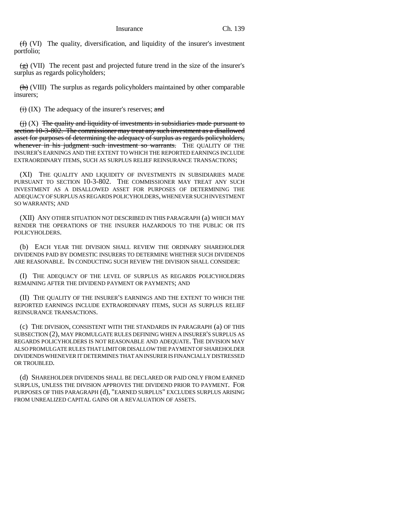$(f)$  (VI) The quality, diversification, and liquidity of the insurer's investment portfolio;

 $(g)$  (VII) The recent past and projected future trend in the size of the insurer's surplus as regards policyholders;

(h) (VIII) The surplus as regards policyholders maintained by other comparable insurers;

 $\overline{(ii)}$  (IX) The adequacy of the insurer's reserves; and

 $\leftrightarrow$   $(X)$  The quality and liquidity of investments in subsidiaries made pursuant to section 10-3-802. The commissioner may treat any such investment as a disallowed asset for purposes of determining the adequacy of surplus as regards policyholders, whenever in his judgment such investment so warrants. THE QUALITY OF THE INSURER'S EARNINGS AND THE EXTENT TO WHICH THE REPORTED EARNINGS INCLUDE EXTRAORDINARY ITEMS, SUCH AS SURPLUS RELIEF REINSURANCE TRANSACTIONS;

(XI) THE QUALITY AND LIQUIDITY OF INVESTMENTS IN SUBSIDIARIES MADE PURSUANT TO SECTION 10-3-802. THE COMMISSIONER MAY TREAT ANY SUCH INVESTMENT AS A DISALLOWED ASSET FOR PURPOSES OF DETERMINING THE ADEQUACY OF SURPLUS AS REGARDS POLICYHOLDERS, WHENEVER SUCH INVESTMENT SO WARRANTS; AND

(XII) ANY OTHER SITUATION NOT DESCRIBED IN THIS PARAGRAPH (a) WHICH MAY RENDER THE OPERATIONS OF THE INSURER HAZARDOUS TO THE PUBLIC OR ITS POLICYHOLDERS.

(b) EACH YEAR THE DIVISION SHALL REVIEW THE ORDINARY SHAREHOLDER DIVIDENDS PAID BY DOMESTIC INSURERS TO DETERMINE WHETHER SUCH DIVIDENDS ARE REASONABLE. IN CONDUCTING SUCH REVIEW THE DIVISION SHALL CONSIDER:

(I) THE ADEQUACY OF THE LEVEL OF SURPLUS AS REGARDS POLICYHOLDERS REMAINING AFTER THE DIVIDEND PAYMENT OR PAYMENTS; AND

(II) THE QUALITY OF THE INSURER'S EARNINGS AND THE EXTENT TO WHICH THE REPORTED EARNINGS INCLUDE EXTRAORDINARY ITEMS, SUCH AS SURPLUS RELIEF REINSURANCE TRANSACTIONS.

(c) THE DIVISION, CONSISTENT WITH THE STANDARDS IN PARAGRAPH (a) OF THIS SUBSECTION (2), MAY PROMULGATE RULES DEFINING WHEN A INSURER'S SURPLUS AS REGARDS POLICYHOLDERS IS NOT REASONABLE AND ADEQUATE. THE DIVISION MAY ALSO PROMULGATE RULES THAT LIMIT OR DISALLOW THE PAYMENT OF SHAREHOLDER DIVIDENDS WHENEVER IT DETERMINES THAT AN INSURER IS FINANCIALLY DISTRESSED OR TROUBLED.

(d) SHAREHOLDER DIVIDENDS SHALL BE DECLARED OR PAID ONLY FROM EARNED SURPLUS, UNLESS THE DIVISION APPROVES THE DIVIDEND PRIOR TO PAYMENT. FOR PURPOSES OF THIS PARAGRAPH (d), "EARNED SURPLUS" EXCLUDES SURPLUS ARISING FROM UNREALIZED CAPITAL GAINS OR A REVALUATION OF ASSETS.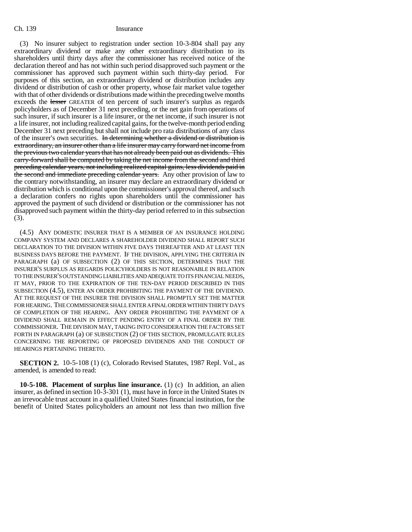(3) No insurer subject to registration under section 10-3-804 shall pay any extraordinary dividend or make any other extraordinary distribution to its shareholders until thirty days after the commissioner has received notice of the declaration thereof and has not within such period disapproved such payment or the commissioner has approved such payment within such thirty-day period. For purposes of this section, an extraordinary dividend or distribution includes any dividend or distribution of cash or other property, whose fair market value together with that of other dividends or distributions made within the preceding twelve months exceeds the lesser GREATER of ten percent of such insurer's surplus as regards policyholders as of December 31 next preceding, or the net gain from operations of such insurer, if such insurer is a life insurer, or the net income, if such insurer is not a life insurer, not including realized capital gains, for the twelve-month period ending December 31 next preceding but shall not include pro rata distributions of any class of the insurer's own securities. In determining whether a dividend or distribution is extraordinary, an insurer other than a life insurer may carry forward net income from the previous two calendar years that has not already been paid out as dividends. This carry-forward shall be computed by taking the net income from the second and third preceding calendar years, not including realized capital gains, less dividends paid in the second and immediate preceding calendar years. Any other provision of law to the contrary notwithstanding, an insurer may declare an extraordinary dividend or distribution which is conditional upon the commissioner's approval thereof, and such a declaration confers no rights upon shareholders until the commissioner has approved the payment of such dividend or distribution or the commissioner has not disapproved such payment within the thirty-day period referred to in this subsection (3).

(4.5) ANY DOMESTIC INSURER THAT IS A MEMBER OF AN INSURANCE HOLDING COMPANY SYSTEM AND DECLARES A SHAREHOLDER DIVIDEND SHALL REPORT SUCH DECLARATION TO THE DIVISION WITHIN FIVE DAYS THEREAFTER AND AT LEAST TEN BUSINESS DAYS BEFORE THE PAYMENT. IF THE DIVISION, APPLYING THE CRITERIA IN PARAGRAPH (a) OF SUBSECTION (2) OF THIS SECTION, DETERMINES THAT THE INSURER'S SURPLUS AS REGARDS POLICYHOLDERS IS NOT REASONABLE IN RELATION TO THE INSURER'S OUTSTANDING LIABILITIES AND ADEQUATE TO ITS FINANCIAL NEEDS, IT MAY, PRIOR TO THE EXPIRATION OF THE TEN-DAY PERIOD DESCRIBED IN THIS SUBSECTION (4.5), ENTER AN ORDER PROHIBITING THE PAYMENT OF THE DIVIDEND. AT THE REQUEST OF THE INSURER THE DIVISION SHALL PROMPTLY SET THE MATTER FOR HEARING. THE COMMISSIONER SHALL ENTER A FINAL ORDER WITHIN THIRTY DAYS OF COMPLETION OF THE HEARING. ANY ORDER PROHIBITING THE PAYMENT OF A DIVIDEND SHALL REMAIN IN EFFECT PENDING ENTRY OF A FINAL ORDER BY THE COMMISSIONER. THE DIVISION MAY, TAKING INTO CONSIDERATION THE FACTORS SET FORTH IN PARAGRAPH (a) OF SUBSECTION (2) OF THIS SECTION, PROMULGATE RULES CONCERNING THE REPORTING OF PROPOSED DIVIDENDS AND THE CONDUCT OF HEARINGS PERTAINING THERETO.

**SECTION 2.** 10-5-108 (1) (c), Colorado Revised Statutes, 1987 Repl. Vol., as amended, is amended to read:

**10-5-108. Placement of surplus line insurance.** (1) (c) In addition, an alien insurer, as defined in section 10-3-301 (1), must have in force in the United States IN an irrevocable trust account in a qualified United States financial institution, for the benefit of United States policyholders an amount not less than two million five